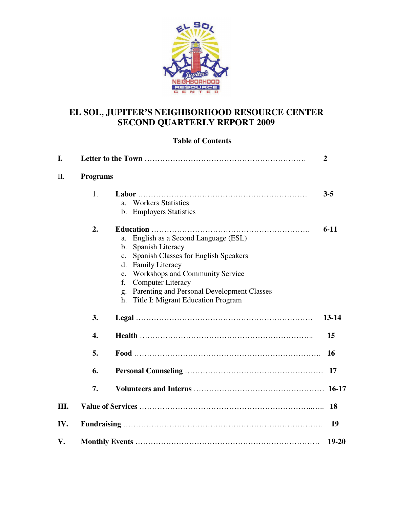

# **EL SOL, JUPITER'S NEIGHBORHOOD RESOURCE CENTER SECOND QUARTERLY REPORT 2009**

# **Table of Contents**

| I.   |                 |                                                                                                                                                                                                                                                                                                                                          | $\overline{2}$ |
|------|-----------------|------------------------------------------------------------------------------------------------------------------------------------------------------------------------------------------------------------------------------------------------------------------------------------------------------------------------------------------|----------------|
| II.  | <b>Programs</b> |                                                                                                                                                                                                                                                                                                                                          |                |
|      | 1.              | <b>Workers Statistics</b><br>$a_{-}$<br>b. Employers Statistics                                                                                                                                                                                                                                                                          | $3 - 5$        |
|      | 2.              | English as a Second Language (ESL)<br>a.<br>b. Spanish Literacy<br>Spanish Classes for English Speakers<br>$c_{\cdot}$<br><b>Family Literacy</b><br>d.<br><b>Workshops and Community Service</b><br>e.<br><b>Computer Literacy</b><br>f.<br>Parenting and Personal Development Classes<br>g.<br>Title I: Migrant Education Program<br>h. | $6 - 11$       |
|      | 3.              |                                                                                                                                                                                                                                                                                                                                          | $13 - 14$      |
|      | 4.              |                                                                                                                                                                                                                                                                                                                                          | 15             |
|      | 5.              |                                                                                                                                                                                                                                                                                                                                          | <b>16</b>      |
|      | 6.              |                                                                                                                                                                                                                                                                                                                                          | 17             |
|      | 7.              |                                                                                                                                                                                                                                                                                                                                          | $16-17$        |
| III. |                 |                                                                                                                                                                                                                                                                                                                                          | 18             |
| IV.  |                 |                                                                                                                                                                                                                                                                                                                                          | 19             |
| V.   |                 |                                                                                                                                                                                                                                                                                                                                          | $19 - 20$      |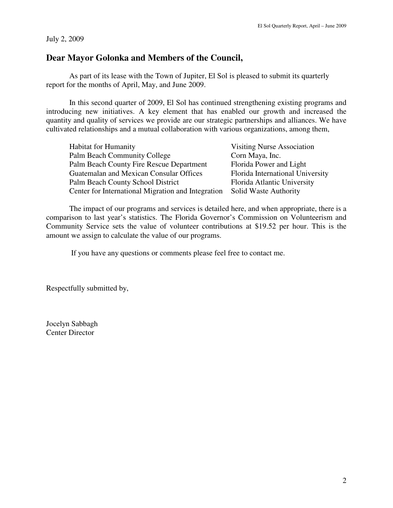#### July 2, 2009

# **Dear Mayor Golonka and Members of the Council,**

 As part of its lease with the Town of Jupiter, El Sol is pleased to submit its quarterly report for the months of April, May, and June 2009.

In this second quarter of 2009, El Sol has continued strengthening existing programs and introducing new initiatives. A key element that has enabled our growth and increased the quantity and quality of services we provide are our strategic partnerships and alliances. We have cultivated relationships and a mutual collaboration with various organizations, among them,

| <b>Habitat for Humanity</b>                                              | <b>Visiting Nurse Association</b> |
|--------------------------------------------------------------------------|-----------------------------------|
| Palm Beach Community College                                             | Corn Maya, Inc.                   |
| Palm Beach County Fire Rescue Department                                 | Florida Power and Light           |
| Guatemalan and Mexican Consular Offices                                  | Florida International University  |
| Palm Beach County School District                                        | Florida Atlantic University       |
| Center for International Migration and Integration Solid Waste Authority |                                   |

The impact of our programs and services is detailed here, and when appropriate, there is a comparison to last year's statistics. The Florida Governor's Commission on Volunteerism and Community Service sets the value of volunteer contributions at \$19.52 per hour. This is the amount we assign to calculate the value of our programs.

If you have any questions or comments please feel free to contact me.

Respectfully submitted by,

Jocelyn Sabbagh Center Director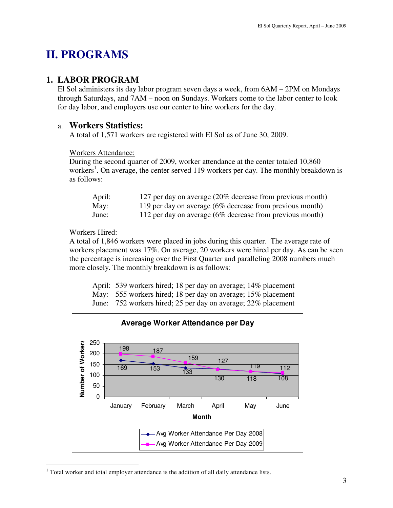# **II. PROGRAMS**

# **1. LABOR PROGRAM**

El Sol administers its day labor program seven days a week, from 6AM – 2PM on Mondays through Saturdays, and 7AM – noon on Sundays. Workers come to the labor center to look for day labor, and employers use our center to hire workers for the day.

## a. **Workers Statistics:**

A total of 1,571 workers are registered with El Sol as of June 30, 2009.

#### Workers Attendance:

During the second quarter of 2009, worker attendance at the center totaled 10,860 workers<sup>1</sup>. On average, the center served 119 workers per day. The monthly breakdown is as follows:

| April: | 127 per day on average (20% decrease from previous month)   |
|--------|-------------------------------------------------------------|
| May:   | 119 per day on average $(6\%$ decrease from previous month) |
| June:  | 112 per day on average $(6\%$ decrease from previous month) |

#### Workers Hired:

 $\overline{a}$ 

A total of 1,846 workers were placed in jobs during this quarter. The average rate of workers placement was 17%. On average, 20 workers were hired per day. As can be seen the percentage is increasing over the First Quarter and paralleling 2008 numbers much more closely. The monthly breakdown is as follows:

April: 539 workers hired; 18 per day on average; 14% placement

May: 555 workers hired; 18 per day on average; 15% placement

June: 752 workers hired; 25 per day on average; 22% placement



 $1$  Total worker and total employer attendance is the addition of all daily attendance lists.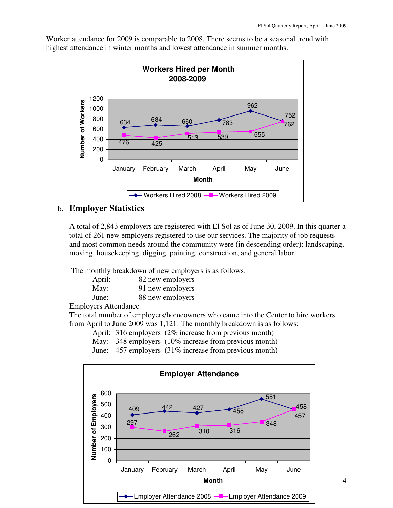Worker attendance for 2009 is comparable to 2008. There seems to be a seasonal trend with highest attendance in winter months and lowest attendance in summer months.



# b. **Employer Statistics**

A total of 2,843 employers are registered with El Sol as of June 30, 2009. In this quarter a total of 261 new employers registered to use our services. The majority of job requests and most common needs around the community were (in descending order): landscaping, moving, housekeeping, digging, painting, construction, and general labor.

The monthly breakdown of new employers is as follows:

| April: | 82 new employers |
|--------|------------------|
| May:   | 91 new employers |
| June:  | 88 new employers |

Employers Attendance

The total number of employers/homeowners who came into the Center to hire workers from April to June 2009 was 1,121. The monthly breakdown is as follows:

April: 316 employers (2% increase from previous month)

May: 348 employers (10% increase from previous month)

June: 457 employers (31% increase from previous month)

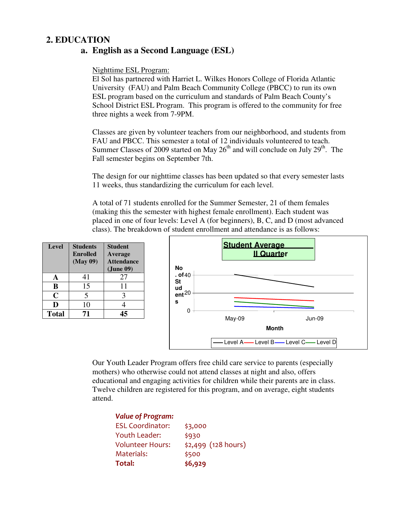# **2. EDUCATION**

# **a. English as a Second Language (ESL)**

## Nighttime ESL Program:

El Sol has partnered with Harriet L. Wilkes Honors College of Florida Atlantic University (FAU) and Palm Beach Community College (PBCC) to run its own ESL program based on the curriculum and standards of Palm Beach County's School District ESL Program. This program is offered to the community for free three nights a week from 7-9PM.

Classes are given by volunteer teachers from our neighborhood, and students from FAU and PBCC. This semester a total of 12 individuals volunteered to teach. Summer Classes of 2009 started on May  $26<sup>th</sup>$  and will conclude on July  $29<sup>th</sup>$ . The Fall semester begins on September 7th.

The design for our nighttime classes has been updated so that every semester lasts 11 weeks, thus standardizing the curriculum for each level.

A total of 71 students enrolled for the Summer Semester, 21 of them females (making this the semester with highest female enrollment). Each student was placed in one of four levels: Level A (for beginners), B, C, and D (most advanced class). The breakdown of student enrollment and attendance is as follows:

| <b>Level</b> | <b>Students</b><br><b>Enrolled</b><br>(May 09) | <b>Student</b><br>Average<br><b>Attendance</b><br>(June 09) |
|--------------|------------------------------------------------|-------------------------------------------------------------|
| A            | 41                                             | 27                                                          |
| B            | 15                                             | 11                                                          |
| C            | 5                                              | 3                                                           |
| D            | 10                                             |                                                             |
| <b>Total</b> | 71                                             | 45                                                          |



Our Youth Leader Program offers free child care service to parents (especially mothers) who otherwise could not attend classes at night and also, offers educational and engaging activities for children while their parents are in class. Twelve children are registered for this program, and on average, eight students attend.

| <b>Value of Program:</b> |                      |
|--------------------------|----------------------|
| <b>ESL Coordinator:</b>  | \$3,000              |
| <b>Youth Leader:</b>     | \$930                |
| <b>Volunteer Hours:</b>  | $$2,499$ (128 hours) |
| Materials:               | \$500                |
| Total:                   | \$6,929              |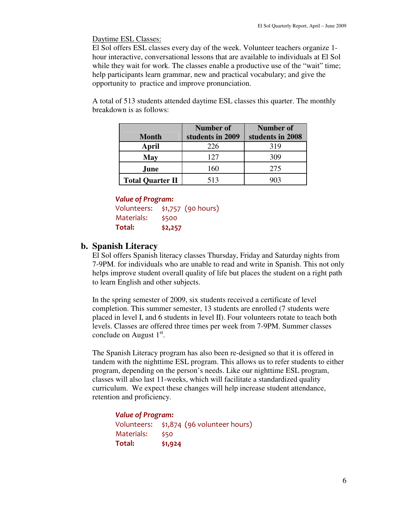Daytime ESL Classes:

El Sol offers ESL classes every day of the week. Volunteer teachers organize 1 hour interactive, conversational lessons that are available to individuals at El Sol while they wait for work. The classes enable a productive use of the "wait" time; help participants learn grammar, new and practical vocabulary; and give the opportunity to practice and improve pronunciation.

A total of 513 students attended daytime ESL classes this quarter. The monthly breakdown is as follows:

|                         | Number of        | Number of        |
|-------------------------|------------------|------------------|
| <b>Month</b>            | students in 2009 | students in 2008 |
| April                   | 226              | 319              |
| May                     | 127              | 309              |
| June                    | 160              | 275              |
| <b>Total Quarter II</b> | 513              |                  |

#### Value of Program:

Volunteers: \$1,757 (90 hours) Materials: \$500 Total: \$2,257

### **b. Spanish Literacy**

El Sol offers Spanish literacy classes Thursday, Friday and Saturday nights from 7-9PM. for individuals who are unable to read and write in Spanish. This not only helps improve student overall quality of life but places the student on a right path to learn English and other subjects.

In the spring semester of 2009, six students received a certificate of level completion. This summer semester, 13 students are enrolled (7 students were placed in level I, and 6 students in level II). Four volunteers rotate to teach both levels. Classes are offered three times per week from 7-9PM. Summer classes conclude on August  $1<sup>st</sup>$ .

The Spanish Literacy program has also been re-designed so that it is offered in tandem with the nighttime ESL program. This allows us to refer students to either program, depending on the person's needs. Like our nighttime ESL program, classes will also last 11-weeks, which will facilitate a standardized quality curriculum. We expect these changes will help increase student attendance, retention and proficiency.

| <b>Value of Program:</b> |                                          |  |
|--------------------------|------------------------------------------|--|
|                          | Volunteers: \$1,874 (96 volunteer hours) |  |
| Materials:               | \$50                                     |  |
| Total:                   | \$1,924                                  |  |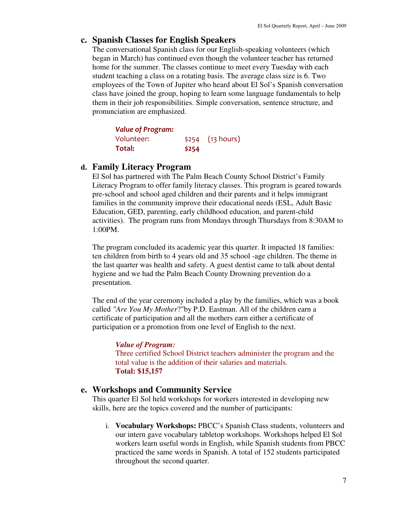## **c. Spanish Classes for English Speakers**

The conversational Spanish class for our English-speaking volunteers (which began in March) has continued even though the volunteer teacher has returned home for the summer. The classes continue to meet every Tuesday with each student teaching a class on a rotating basis. The average class size is 6. Two employees of the Town of Jupiter who heard about El Sol's Spanish conversation class have joined the group, hoping to learn some language fundamentals to help them in their job responsibilities. Simple conversation, sentence structure, and pronunciation are emphasized.

| <b>Value of Program:</b> |       |                   |
|--------------------------|-------|-------------------|
| Volunteer:               |       | $$254$ (13 hours) |
| Total:                   | \$254 |                   |

# **d. Family Literacy Program**

El Sol has partnered with The Palm Beach County School District's Family Literacy Program to offer family literacy classes. This program is geared towards pre-school and school aged children and their parents and it helps immigrant families in the community improve their educational needs (ESL, Adult Basic Education, GED, parenting, early childhood education, and parent-child activities). The program runs from Mondays through Thursdays from 8:30AM to 1:00PM.

The program concluded its academic year this quarter. It impacted 18 families: ten children from birth to 4 years old and 35 school -age children. The theme in the last quarter was health and safety. A guest dentist came to talk about dental hygiene and we had the Palm Beach County Drowning prevention do a presentation.

The end of the year ceremony included a play by the families, which was a book called *"Are You My Mother*?"by P.D. Eastman. All of the children earn a certificate of participation and all the mothers earn either a certificate of participation or a promotion from one level of English to the next.

#### *Value of Program:*

Three certified School District teachers administer the program and the total value is the addition of their salaries and materials. **Total: \$15,157**

#### **e. Workshops and Community Service**

This quarter El Sol held workshops for workers interested in developing new skills, here are the topics covered and the number of participants:

i. **Vocabulary Workshops:** PBCC's Spanish Class students, volunteers and our intern gave vocabulary tabletop workshops. Workshops helped El Sol workers learn useful words in English, while Spanish students from PBCC practiced the same words in Spanish. A total of 152 students participated throughout the second quarter.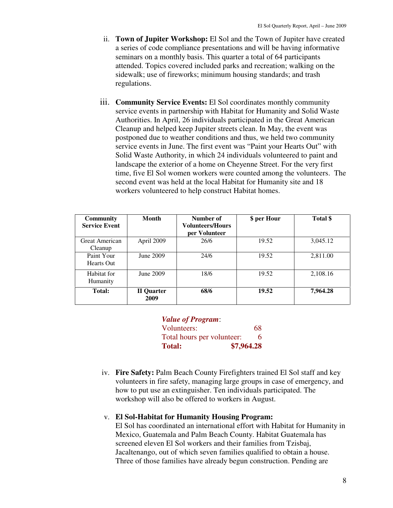- ii. **Town of Jupiter Workshop:** El Sol and the Town of Jupiter have created a series of code compliance presentations and will be having informative seminars on a monthly basis. This quarter a total of 64 participants attended. Topics covered included parks and recreation; walking on the sidewalk; use of fireworks; minimum housing standards; and trash regulations.
- iii. **Community Service Events:** El Sol coordinates monthly community service events in partnership with Habitat for Humanity and Solid Waste Authorities. In April, 26 individuals participated in the Great American Cleanup and helped keep Jupiter streets clean. In May, the event was postponed due to weather conditions and thus, we held two community service events in June. The first event was "Paint your Hearts Out" with Solid Waste Authority, in which 24 individuals volunteered to paint and landscape the exterior of a home on Cheyenne Street. For the very first time, five El Sol women workers were counted among the volunteers. The second event was held at the local Habitat for Humanity site and 18 workers volunteered to help construct Habitat homes.

| <b>Community</b><br><b>Service Event</b> | <b>Month</b>       | Number of<br><b>Volunteers/Hours</b><br>per Volunteer | \$ per Hour | Total \$ |
|------------------------------------------|--------------------|-------------------------------------------------------|-------------|----------|
| Great American<br>Cleanup                | April 2009         | 26/6                                                  | 19.52       | 3,045.12 |
| Paint Your<br>Hearts Out                 | June 2009          | 24/6                                                  | 19.52       | 2,811.00 |
| Habitat for<br>Humanity                  | June 2009          | 18/6                                                  | 19.52       | 2,108.16 |
| <b>Total:</b>                            | II Quarter<br>2009 | 68/6                                                  | 19.52       | 7,964.28 |

| <b>Value of Program:</b>   |            |
|----------------------------|------------|
| Volunteers:                | 68         |
| Total hours per volunteer: | 6.         |
| <b>Total:</b>              | \$7,964.28 |

iv. **Fire Safety:** Palm Beach County Firefighters trained El Sol staff and key volunteers in fire safety, managing large groups in case of emergency, and how to put use an extinguisher. Ten individuals participated. The workshop will also be offered to workers in August.

#### v. **El Sol-Habitat for Humanity Housing Program:**

El Sol has coordinated an international effort with Habitat for Humanity in Mexico, Guatemala and Palm Beach County. Habitat Guatemala has screened eleven El Sol workers and their families from Tzisbaj, Jacaltenango, out of which seven families qualified to obtain a house. Three of those families have already begun construction. Pending are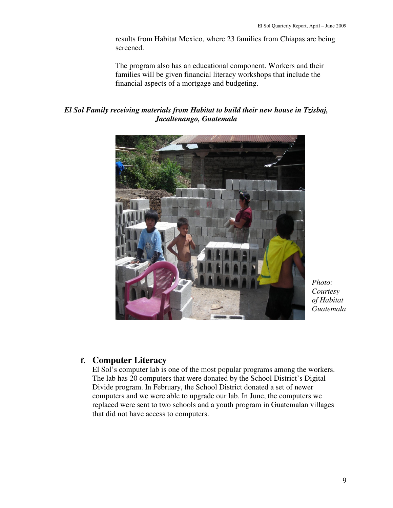results from Habitat Mexico, where 23 families from Chiapas are being screened.

The program also has an educational component. Workers and their families will be given financial literacy workshops that include the financial aspects of a mortgage and budgeting.

*El Sol Family receiving materials from Habitat to build their new house in Tzisbaj, Jacaltenango, Guatemala* 



*Photo: Courtesy of Habitat Guatemala*

# **f. Computer Literacy**

El Sol's computer lab is one of the most popular programs among the workers. The lab has 20 computers that were donated by the School District's Digital Divide program. In February, the School District donated a set of newer computers and we were able to upgrade our lab. In June, the computers we replaced were sent to two schools and a youth program in Guatemalan villages that did not have access to computers.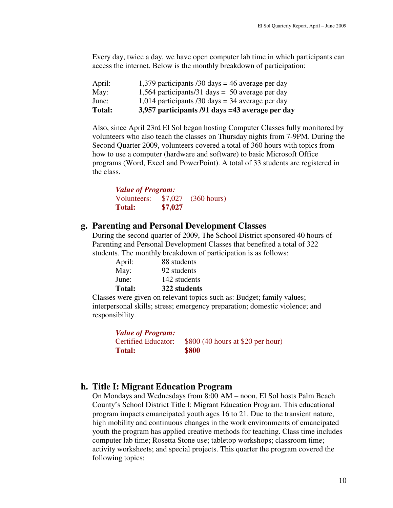Every day, twice a day, we have open computer lab time in which participants can access the internet. Below is the monthly breakdown of participation:

| <b>Total:</b> | 3,957 participants /91 days =43 average per day  |
|---------------|--------------------------------------------------|
| June:         | 1,014 participants /30 days = 34 average per day |
| May:          | 1,564 participants/31 days = 50 average per day  |
| April:        | 1,379 participants /30 days = 46 average per day |

Also, since April 23rd El Sol began hosting Computer Classes fully monitored by volunteers who also teach the classes on Thursday nights from 7-9PM. During the Second Quarter 2009, volunteers covered a total of 360 hours with topics from how to use a computer (hardware and software) to basic Microsoft Office programs (Word, Excel and PowerPoint). A total of 33 students are registered in the class.

| <b>Value of Program:</b> |         |                       |  |
|--------------------------|---------|-----------------------|--|
| Volunteers:              | \$7,027 | $(360 \text{ hours})$ |  |
| <b>Total:</b>            | \$7,027 |                       |  |

#### **g. Parenting and Personal Development Classes**

During the second quarter of 2009, The School District sponsored 40 hours of Parenting and Personal Development Classes that benefited a total of 322 students. The monthly breakdown of participation is as follows:

| <b>Total:</b> | 322 students |
|---------------|--------------|
| June:         | 142 students |
| May:          | 92 students  |
| April:        | 88 students  |

Classes were given on relevant topics such as: Budget; family values; interpersonal skills; stress; emergency preparation; domestic violence; and responsibility.

| <b>Value of Program:</b>   |                                   |
|----------------------------|-----------------------------------|
| <b>Certified Educator:</b> | \$800 (40 hours at \$20 per hour) |
| <b>Total:</b>              | \$800                             |

#### **h. Title I: Migrant Education Program**

On Mondays and Wednesdays from 8:00 AM – noon, El Sol hosts Palm Beach County's School District Title I: Migrant Education Program. This educational program impacts emancipated youth ages 16 to 21. Due to the transient nature, high mobility and continuous changes in the work environments of emancipated youth the program has applied creative methods for teaching. Class time includes computer lab time; Rosetta Stone use; tabletop workshops; classroom time; activity worksheets; and special projects. This quarter the program covered the following topics: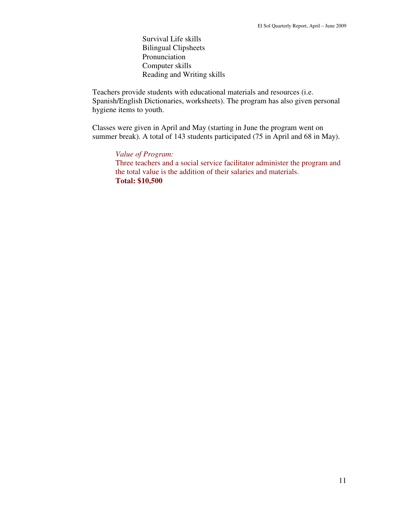Survival Life skills Bilingual Clipsheets Pronunciation Computer skills Reading and Writing skills

Teachers provide students with educational materials and resources (i.e. Spanish/English Dictionaries, worksheets). The program has also given personal hygiene items to youth.

Classes were given in April and May (starting in June the program went on summer break). A total of 143 students participated (75 in April and 68 in May).

*Value of Program:*  Three teachers and a social service facilitator administer the program and the total value is the addition of their salaries and materials. **Total: \$10,500**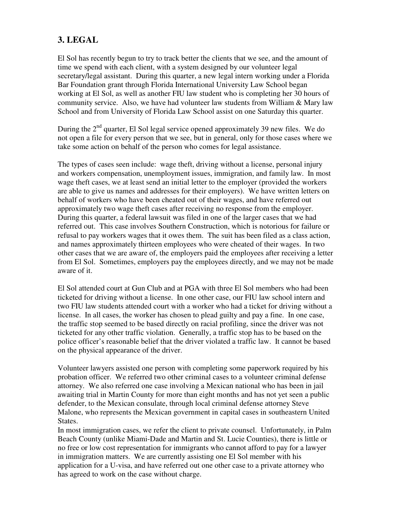# **3. LEGAL**

El Sol has recently begun to try to track better the clients that we see, and the amount of time we spend with each client, with a system designed by our volunteer legal secretary/legal assistant. During this quarter, a new legal intern working under a Florida Bar Foundation grant through Florida International University Law School began working at El Sol, as well as another FIU law student who is completing her 30 hours of community service. Also, we have had volunteer law students from William & Mary law School and from University of Florida Law School assist on one Saturday this quarter.

During the  $2<sup>nd</sup>$  quarter, El Sol legal service opened approximately 39 new files. We do not open a file for every person that we see, but in general, only for those cases where we take some action on behalf of the person who comes for legal assistance.

The types of cases seen include: wage theft, driving without a license, personal injury and workers compensation, unemployment issues, immigration, and family law. In most wage theft cases, we at least send an initial letter to the employer (provided the workers are able to give us names and addresses for their employers). We have written letters on behalf of workers who have been cheated out of their wages, and have referred out approximately two wage theft cases after receiving no response from the employer. During this quarter, a federal lawsuit was filed in one of the larger cases that we had referred out. This case involves Southern Construction, which is notorious for failure or refusal to pay workers wages that it owes them. The suit has been filed as a class action, and names approximately thirteen employees who were cheated of their wages. In two other cases that we are aware of, the employers paid the employees after receiving a letter from El Sol. Sometimes, employers pay the employees directly, and we may not be made aware of it.

El Sol attended court at Gun Club and at PGA with three El Sol members who had been ticketed for driving without a license. In one other case, our FIU law school intern and two FIU law students attended court with a worker who had a ticket for driving without a license. In all cases, the worker has chosen to plead guilty and pay a fine. In one case, the traffic stop seemed to be based directly on racial profiling, since the driver was not ticketed for any other traffic violation. Generally, a traffic stop has to be based on the police officer's reasonable belief that the driver violated a traffic law. It cannot be based on the physical appearance of the driver.

Volunteer lawyers assisted one person with completing some paperwork required by his probation officer. We referred two other criminal cases to a volunteer criminal defense attorney. We also referred one case involving a Mexican national who has been in jail awaiting trial in Martin County for more than eight months and has not yet seen a public defender, to the Mexican consulate, through local criminal defense attorney Steve Malone, who represents the Mexican government in capital cases in southeastern United States.

In most immigration cases, we refer the client to private counsel. Unfortunately, in Palm Beach County (unlike Miami-Dade and Martin and St. Lucie Counties), there is little or no free or low cost representation for immigrants who cannot afford to pay for a lawyer in immigration matters. We are currently assisting one El Sol member with his application for a U-visa, and have referred out one other case to a private attorney who has agreed to work on the case without charge.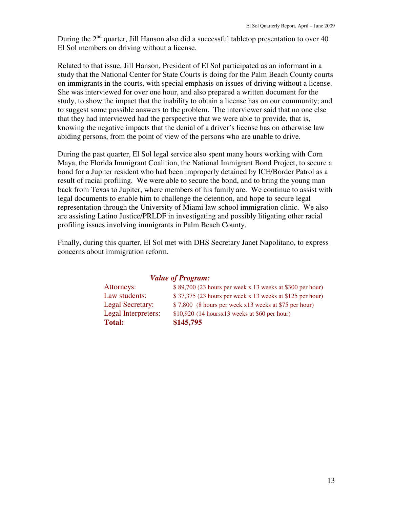During the  $2<sup>nd</sup>$  quarter, Jill Hanson also did a successful tabletop presentation to over 40 El Sol members on driving without a license.

Related to that issue, Jill Hanson, President of El Sol participated as an informant in a study that the National Center for State Courts is doing for the Palm Beach County courts on immigrants in the courts, with special emphasis on issues of driving without a license. She was interviewed for over one hour, and also prepared a written document for the study, to show the impact that the inability to obtain a license has on our community; and to suggest some possible answers to the problem. The interviewer said that no one else that they had interviewed had the perspective that we were able to provide, that is, knowing the negative impacts that the denial of a driver's license has on otherwise law abiding persons, from the point of view of the persons who are unable to drive.

During the past quarter, El Sol legal service also spent many hours working with Corn Maya, the Florida Immigrant Coalition, the National Immigrant Bond Project, to secure a bond for a Jupiter resident who had been improperly detained by ICE/Border Patrol as a result of racial profiling. We were able to secure the bond, and to bring the young man back from Texas to Jupiter, where members of his family are. We continue to assist with legal documents to enable him to challenge the detention, and hope to secure legal representation through the University of Miami law school immigration clinic. We also are assisting Latino Justice/PRLDF in investigating and possibly litigating other racial profiling issues involving immigrants in Palm Beach County.

Finally, during this quarter, El Sol met with DHS Secretary Janet Napolitano, to express concerns about immigration reform.

| <i>Value of Program:</i> |                     |                                                            |  |
|--------------------------|---------------------|------------------------------------------------------------|--|
|                          | Attorneys:          | $$89,700$ (23 hours per week x 13 weeks at \$300 per hour) |  |
|                          | Law students:       | $$37,375$ (23 hours per week x 13 weeks at \$125 per hour) |  |
|                          | Legal Secretary:    | \$7,800 (8 hours per week x13 weeks at \$75 per hour)      |  |
|                          | Legal Interpreters: | $$10,920$ (14 hours x 13 weeks at \$60 per hour)           |  |
|                          | <b>Total:</b>       | \$145,795                                                  |  |
|                          |                     |                                                            |  |

# *Value of Program:*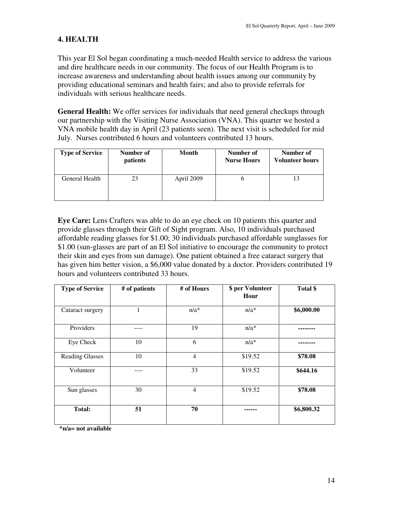# **4. HEALTH**

This year El Sol began coordinating a much-needed Health service to address the various and dire healthcare needs in our community. The focus of our Health Program is to increase awareness and understanding about health issues among our community by providing educational seminars and health fairs; and also to provide referrals for individuals with serious healthcare needs.

**General Health:** We offer services for individuals that need general checkups through our partnership with the Visiting Nurse Association (VNA). This quarter we hosted a VNA mobile health day in April (23 patients seen). The next visit is scheduled for mid July. Nurses contributed 6 hours and volunteers contributed 13 hours.

| <b>Type of Service</b> | Number of<br><i>patients</i> | Month      | Number of<br><b>Nurse Hours</b> | Number of<br><b>Volunteer hours</b> |
|------------------------|------------------------------|------------|---------------------------------|-------------------------------------|
| General Health         | 23                           | April 2009 |                                 | 13                                  |

**Eye Care:** Lens Crafters was able to do an eye check on 10 patients this quarter and provide glasses through their Gift of Sight program. Also, 10 individuals purchased affordable reading glasses for \$1.00; 30 individuals purchased affordable sunglasses for \$1.00 (sun-glasses are part of an El Sol initiative to encourage the community to protect their skin and eyes from sun damage). One patient obtained a free cataract surgery that has given him better vision, a \$6,000 value donated by a doctor. Providers contributed 19 hours and volunteers contributed 33 hours.

| <b>Type of Service</b> | # of patients | # of Hours     | \$ per Volunteer<br>Hour | Total \$   |
|------------------------|---------------|----------------|--------------------------|------------|
| Cataract surgery       | 1             | $n/a^*$        | $n/a^*$                  | \$6,000.00 |
| Providers              |               | 19             | $n/a*$                   |            |
| Eye Check              | 10            | 6              | $n/a^*$                  |            |
| <b>Reading Glasses</b> | 10            | $\overline{4}$ | \$19.52                  | \$78.08    |
| Volunteer              |               | 33             | \$19.52                  | \$644.16   |
| Sun glasses            | 30            | $\overline{4}$ | \$19.52                  | \$78.08    |
| <b>Total:</b>          | 51            | 70             |                          | \$6,800.32 |

**\*n/a= not available**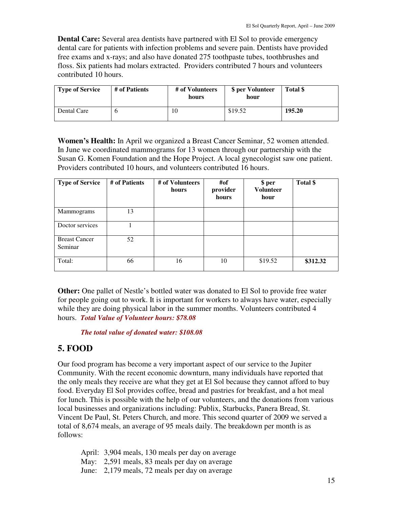**Dental Care:** Several area dentists have partnered with El Sol to provide emergency dental care for patients with infection problems and severe pain. Dentists have provided free exams and x-rays; and also have donated 275 toothpaste tubes, toothbrushes and floss. Six patients had molars extracted.Providers contributed 7 hours and volunteers contributed 10 hours.

| Type of Service | # of Patients | # of Volunteers<br>hours | \$ per Volunteer<br>hour | Total \$ |
|-----------------|---------------|--------------------------|--------------------------|----------|
| Dental Care     |               | 1Ο                       | \$19.52                  | 195.20   |

**Women's Health:** In April we organized a Breast Cancer Seminar, 52 women attended. In June we coordinated mammograms for 13 women through our partnership with the Susan G. Komen Foundation and the Hope Project. A local gynecologist saw one patient. Providers contributed 10 hours, and volunteers contributed 16 hours.

| <b>Type of Service</b>          | # of Patients | # of Volunteers<br>hours | #of<br>provider<br>hours | \$ per<br><b>Volunteer</b><br>hour | Total \$ |
|---------------------------------|---------------|--------------------------|--------------------------|------------------------------------|----------|
| <b>Mammograms</b>               | 13            |                          |                          |                                    |          |
| Doctor services                 |               |                          |                          |                                    |          |
| <b>Breast Cancer</b><br>Seminar | 52            |                          |                          |                                    |          |
| Total:                          | 66            | 16                       | 10                       | \$19.52                            | \$312.32 |

**Other:** One pallet of Nestle's bottled water was donated to El Sol to provide free water for people going out to work. It is important for workers to always have water, especially while they are doing physical labor in the summer months. Volunteers contributed 4 hours.*Total Value of Volunteer hours: \$78.08* 

#### *The total value of donated water: \$108.08*

# **5. FOOD**

Our food program has become a very important aspect of our service to the Jupiter Community. With the recent economic downturn, many individuals have reported that the only meals they receive are what they get at El Sol because they cannot afford to buy food. Everyday El Sol provides coffee, bread and pastries for breakfast, and a hot meal for lunch. This is possible with the help of our volunteers, and the donations from various local businesses and organizations including: Publix, Starbucks, Panera Bread, St. Vincent De Paul, St. Peters Church, and more. This second quarter of 2009 we served a total of 8,674 meals, an average of 95 meals daily. The breakdown per month is as follows:

April: 3,904 meals, 130 meals per day on average May: 2,591 meals, 83 meals per day on average June: 2,179 meals, 72 meals per day on average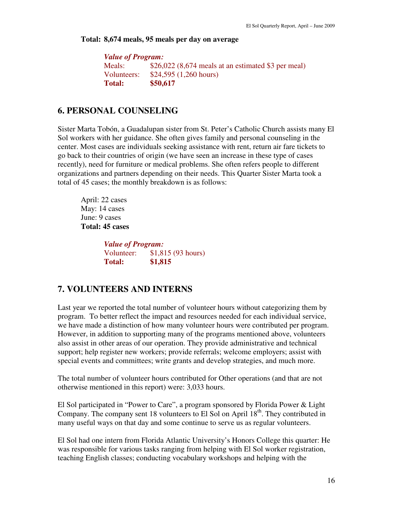#### **Total: 8,674 meals, 95 meals per day on average**

| <b>Value of Program:</b>                             |
|------------------------------------------------------|
| $$26,022$ (8,674 meals at an estimated \$3 per meal) |
| \$24,595 (1,260 hours)                               |
| \$50,617                                             |
|                                                      |

# **6. PERSONAL COUNSELING**

Sister Marta Tobón, a Guadalupan sister from St. Peter's Catholic Church assists many El Sol workers with her guidance. She often gives family and personal counseling in the center. Most cases are individuals seeking assistance with rent, return air fare tickets to go back to their countries of origin (we have seen an increase in these type of cases recently), need for furniture or medical problems. She often refers people to different organizations and partners depending on their needs. This Quarter Sister Marta took a total of 45 cases; the monthly breakdown is as follows:

 April: 22 cases May: 14 cases June: 9 cases **Total: 45 cases** 

> *Value of Program:* Volunteer: \$1,815 (93 hours) **Total: \$1,815**

# **7. VOLUNTEERS AND INTERNS**

Last year we reported the total number of volunteer hours without categorizing them by program. To better reflect the impact and resources needed for each individual service, we have made a distinction of how many volunteer hours were contributed per program. However, in addition to supporting many of the programs mentioned above, volunteers also assist in other areas of our operation. They provide administrative and technical support; help register new workers; provide referrals; welcome employers; assist with special events and committees; write grants and develop strategies, and much more.

The total number of volunteer hours contributed for Other operations (and that are not otherwise mentioned in this report) were: 3,033 hours.

El Sol participated in "Power to Care", a program sponsored by Florida Power & Light Company. The company sent 18 volunteers to El Sol on April  $18<sup>th</sup>$ . They contributed in many useful ways on that day and some continue to serve us as regular volunteers.

El Sol had one intern from Florida Atlantic University's Honors College this quarter: He was responsible for various tasks ranging from helping with El Sol worker registration, teaching English classes; conducting vocabulary workshops and helping with the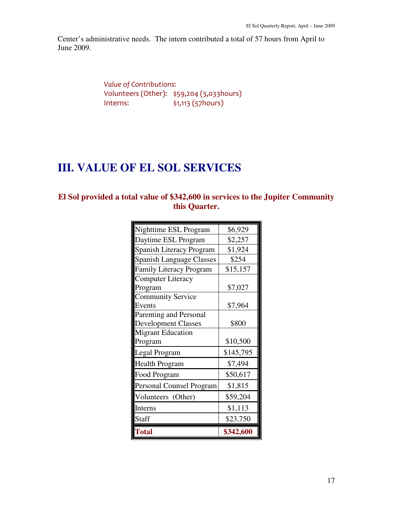Center's administrative needs. The intern contributed a total of 57 hours from April to June 2009.

> Value of Contributions: Volunteers (Other): \$59,204 (3,033hours) Interns: \$1,113 (57hours)

# **III. VALUE OF EL SOL SERVICES**

# **El Sol provided a total value of \$342,600 in services to the Jupiter Community this Quarter.**

| Nighttime ESL Program           | \$6,929   |
|---------------------------------|-----------|
| Daytime ESL Program             | \$2,257   |
| <b>Spanish Literacy Program</b> | \$1,924   |
| <b>Spanish Language Classes</b> | \$254     |
| <b>Family Literacy Program</b>  | \$15,157  |
| <b>Computer Literacy</b>        |           |
| Program                         | \$7,027   |
| <b>Community Service</b>        |           |
| Events                          | \$7,964   |
| Parenting and Personal          |           |
| <b>Development Classes</b>      | \$800     |
| <b>Migrant Education</b>        |           |
| Program                         | \$10,500  |
| Legal Program                   | \$145,795 |
| <b>Health Program</b>           | \$7,494   |
| Food Program                    | \$50,617  |
| <b>Personal Counsel Program</b> | \$1,815   |
| Volunteers (Other)              | \$59,204  |
| Interns                         | \$1,113   |
| Staff                           | \$23,750  |
| <b>Total</b>                    | \$342,600 |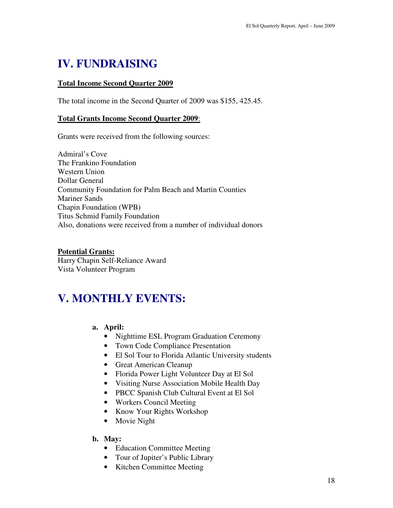# **IV. FUNDRAISING**

## **Total Income Second Quarter 2009**

The total income in the Second Quarter of 2009 was \$155, 425.45.

### **Total Grants Income Second Quarter 2009**:

Grants were received from the following sources:

Admiral's Cove The Frankino Foundation Western Union Dollar General Community Foundation for Palm Beach and Martin Counties Mariner Sands Chapin Foundation (WPB) Titus Schmid Family Foundation Also, donations were received from a number of individual donors

**Potential Grants:** Harry Chapin Self-Reliance Award Vista Volunteer Program

# **V. MONTHLY EVENTS:**

### **a. April:**

- Nighttime ESL Program Graduation Ceremony
- Town Code Compliance Presentation
- El Sol Tour to Florida Atlantic University students
- Great American Cleanup
- Florida Power Light Volunteer Day at El Sol
- Visiting Nurse Association Mobile Health Day
- PBCC Spanish Club Cultural Event at El Sol
- Workers Council Meeting
- Know Your Rights Workshop
- Movie Night

### **b. May:**

- Education Committee Meeting
- Tour of Jupiter's Public Library
- Kitchen Committee Meeting